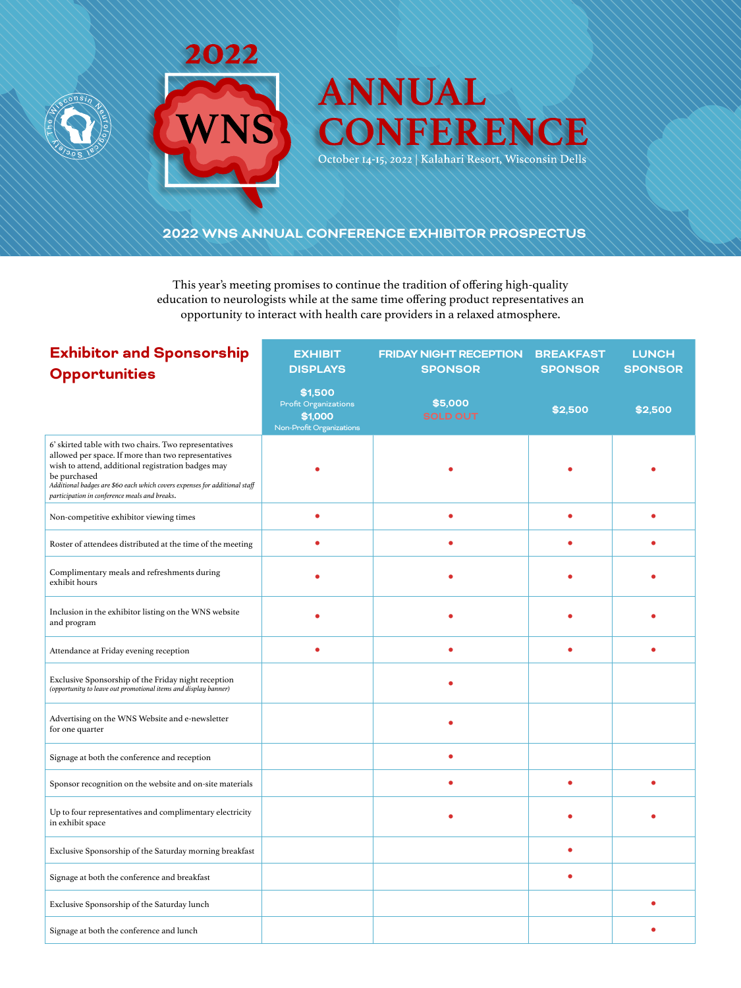



# **ANNUAL** CONFERENCE

October 14-15, 2022 | Kalahari Resort, Wisconsin Dells

# **2022 WNS ANNUAL CONFERENCE EXHIBITOR PROSPECTUS**

This year's meeting promises to continue the tradition of offering high-quality education to neurologists while at the same time offering product representatives an opportunity to interact with health care providers in a relaxed atmosphere.

| <b>Exhibitor and Sponsorship</b><br><b>Opportunities</b>                                                                                                                                                                                                                                                          | <b>EXHIBIT</b><br><b>DISPLAYS</b>                                             | <b>FRIDAY NIGHT RECEPTION</b><br><b>SPONSOR</b> | <b>BREAKFAST</b><br><b>SPONSOR</b> | <b>LUNCH</b><br><b>SPONSOR</b> |
|-------------------------------------------------------------------------------------------------------------------------------------------------------------------------------------------------------------------------------------------------------------------------------------------------------------------|-------------------------------------------------------------------------------|-------------------------------------------------|------------------------------------|--------------------------------|
|                                                                                                                                                                                                                                                                                                                   | \$1,500<br><b>Profit Organizations</b><br>\$1,000<br>Non-Profit Organizations | \$5,000<br><b>SOLD OUT</b>                      | \$2,500                            | \$2,500                        |
| 6' skirted table with two chairs. Two representatives<br>allowed per space. If more than two representatives<br>wish to attend, additional registration badges may<br>be purchased<br>Additional badges are \$60 each which covers expenses for additional staff<br>participation in conference meals and breaks. |                                                                               |                                                 |                                    |                                |
| Non-competitive exhibitor viewing times                                                                                                                                                                                                                                                                           |                                                                               |                                                 | ٠                                  |                                |
| Roster of attendees distributed at the time of the meeting                                                                                                                                                                                                                                                        |                                                                               |                                                 |                                    |                                |
| Complimentary meals and refreshments during<br>exhibit hours                                                                                                                                                                                                                                                      |                                                                               |                                                 |                                    |                                |
| Inclusion in the exhibitor listing on the WNS website<br>and program                                                                                                                                                                                                                                              |                                                                               |                                                 |                                    |                                |
| Attendance at Friday evening reception                                                                                                                                                                                                                                                                            | ٠                                                                             | ٠                                               | ٠                                  |                                |
| Exclusive Sponsorship of the Friday night reception<br>(opportunity to leave out promotional items and display banner)                                                                                                                                                                                            |                                                                               |                                                 |                                    |                                |
| Advertising on the WNS Website and e-newsletter<br>for one quarter                                                                                                                                                                                                                                                |                                                                               |                                                 |                                    |                                |
| Signage at both the conference and reception                                                                                                                                                                                                                                                                      |                                                                               |                                                 |                                    |                                |
| Sponsor recognition on the website and on-site materials                                                                                                                                                                                                                                                          |                                                                               |                                                 | $\bullet$                          |                                |
| Up to four representatives and complimentary electricity<br>in exhibit space                                                                                                                                                                                                                                      |                                                                               |                                                 |                                    |                                |
| Exclusive Sponsorship of the Saturday morning breakfast                                                                                                                                                                                                                                                           |                                                                               |                                                 |                                    |                                |
| Signage at both the conference and breakfast                                                                                                                                                                                                                                                                      |                                                                               |                                                 | ٠                                  |                                |
| Exclusive Sponsorship of the Saturday lunch                                                                                                                                                                                                                                                                       |                                                                               |                                                 |                                    |                                |
| Signage at both the conference and lunch                                                                                                                                                                                                                                                                          |                                                                               |                                                 |                                    |                                |